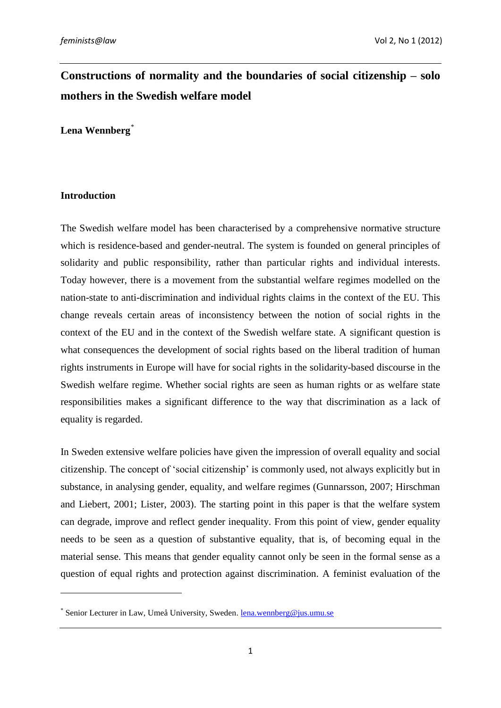# **Constructions of normality and the boundaries of social citizenship – solo mothers in the Swedish welfare model**

**Lena Wennberg***\**

### **Introduction**

1

The Swedish welfare model has been characterised by a comprehensive normative structure which is residence-based and gender-neutral. The system is founded on general principles of solidarity and public responsibility, rather than particular rights and individual interests. Today however, there is a movement from the substantial welfare regimes modelled on the nation-state to anti-discrimination and individual rights claims in the context of the EU. This change reveals certain areas of inconsistency between the notion of social rights in the context of the EU and in the context of the Swedish welfare state. A significant question is what consequences the development of social rights based on the liberal tradition of human rights instruments in Europe will have for social rights in the solidarity-based discourse in the Swedish welfare regime. Whether social rights are seen as human rights or as welfare state responsibilities makes a significant difference to the way that discrimination as a lack of equality is regarded.

In Sweden extensive welfare policies have given the impression of overall equality and social citizenship. The concept of 'social citizenship' is commonly used, not always explicitly but in substance, in analysing gender, equality, and welfare regimes (Gunnarsson, 2007; Hirschman and Liebert, 2001; Lister, 2003). The starting point in this paper is that the welfare system can degrade, improve and reflect gender inequality. From this point of view, gender equality needs to be seen as a question of substantive equality, that is, of becoming equal in the material sense. This means that gender equality cannot only be seen in the formal sense as a question of equal rights and protection against discrimination. A feminist evaluation of the

<sup>\*</sup> Senior Lecturer in Law, Umeå University, Sweden. [lena.wennberg@jus.umu.se](mailto:lena.wennberg@jus.umu.se)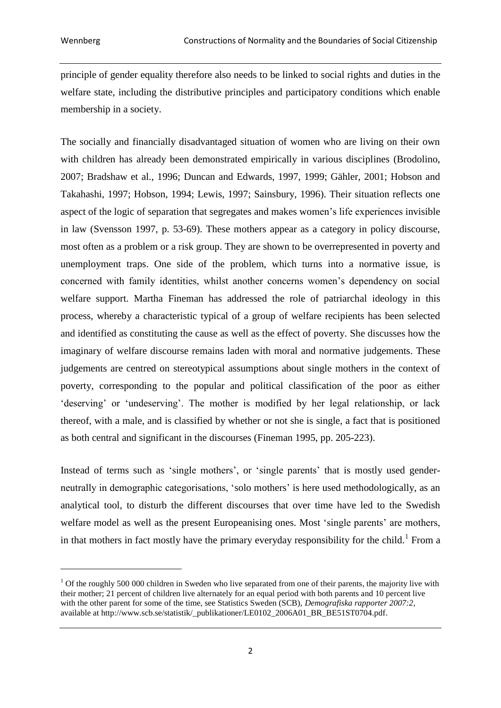principle of gender equality therefore also needs to be linked to social rights and duties in the welfare state, including the distributive principles and participatory conditions which enable membership in a society.

The socially and financially disadvantaged situation of women who are living on their own with children has already been demonstrated empirically in various disciplines (Brodolino, 2007; Bradshaw et al., 1996; Duncan and Edwards, 1997, 1999; Gähler, 2001; Hobson and Takahashi, 1997; Hobson, 1994; Lewis, 1997; Sainsbury, 1996). Their situation reflects one aspect of the logic of separation that segregates and makes women's life experiences invisible in law (Svensson 1997, p. 53-69). These mothers appear as a category in policy discourse, most often as a problem or a risk group. They are shown to be overrepresented in poverty and unemployment traps. One side of the problem, which turns into a normative issue, is concerned with family identities, whilst another concerns women's dependency on social welfare support. Martha Fineman has addressed the role of patriarchal ideology in this process, whereby a characteristic typical of a group of welfare recipients has been selected and identified as constituting the cause as well as the effect of poverty. She discusses how the imaginary of welfare discourse remains laden with moral and normative judgements. These judgements are centred on stereotypical assumptions about single mothers in the context of poverty, corresponding to the popular and political classification of the poor as either 'deserving' or 'undeserving'. The mother is modified by her legal relationship, or lack thereof, with a male, and is classified by whether or not she is single, a fact that is positioned as both central and significant in the discourses (Fineman 1995, pp. 205-223).

Instead of terms such as 'single mothers', or 'single parents' that is mostly used genderneutrally in demographic categorisations, 'solo mothers' is here used methodologically, as an analytical tool, to disturb the different discourses that over time have led to the Swedish welfare model as well as the present Europeanising ones. Most 'single parents' are mothers, in that mothers in fact mostly have the primary everyday responsibility for the child.<sup>1</sup> From a

 $1$  Of the roughly 500 000 children in Sweden who live separated from one of their parents, the majority live with their mother; 21 percent of children live alternately for an equal period with both parents and 10 percent live with the other parent for some of the time, see Statistics Sweden (SCB), *Demografiska rapporter 2007:2*, available at [http://www.scb.se/statistik/\\_publikationer/LE0102\\_2006A01\\_BR\\_BE51ST0704.pdf.](http://www.scb.se/statistik/_publikationer/LE0102_2006A01_BR_BE51ST0704.pdf)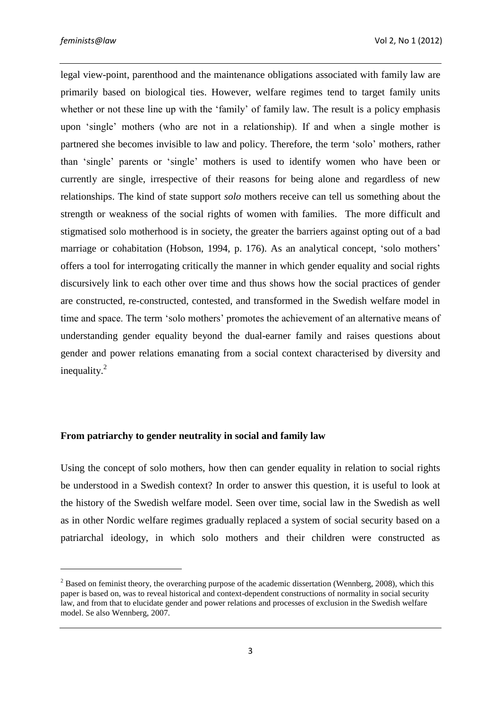legal view-point, parenthood and the maintenance obligations associated with family law are primarily based on biological ties. However, welfare regimes tend to target family units whether or not these line up with the 'family' of family law. The result is a policy emphasis upon 'single' mothers (who are not in a relationship). If and when a single mother is partnered she becomes invisible to law and policy. Therefore, the term 'solo' mothers, rather than 'single' parents or 'single' mothers is used to identify women who have been or currently are single, irrespective of their reasons for being alone and regardless of new relationships. The kind of state support *solo* mothers receive can tell us something about the strength or weakness of the social rights of women with families. The more difficult and stigmatised solo motherhood is in society, the greater the barriers against opting out of a bad marriage or cohabitation (Hobson, 1994, p. 176). As an analytical concept, 'solo mothers' offers a tool for interrogating critically the manner in which gender equality and social rights discursively link to each other over time and thus shows how the social practices of gender are constructed, re-constructed, contested, and transformed in the Swedish welfare model in time and space. The term 'solo mothers' promotes the achievement of an alternative means of understanding gender equality beyond the dual-earner family and raises questions about gender and power relations emanating from a social context characterised by diversity and inequality. $^{2}$ 

### **From patriarchy to gender neutrality in social and family law**

Using the concept of solo mothers, how then can gender equality in relation to social rights be understood in a Swedish context? In order to answer this question, it is useful to look at the history of the Swedish welfare model. Seen over time, social law in the Swedish as well as in other Nordic welfare regimes gradually replaced a system of social security based on a patriarchal ideology, in which solo mothers and their children were constructed as

 $2^2$  Based on feminist theory, the overarching purpose of the academic dissertation (Wennberg, 2008), which this paper is based on, was to reveal historical and context-dependent constructions of normality in social security law, and from that to elucidate gender and power relations and processes of exclusion in the Swedish welfare model. Se also Wennberg, 2007.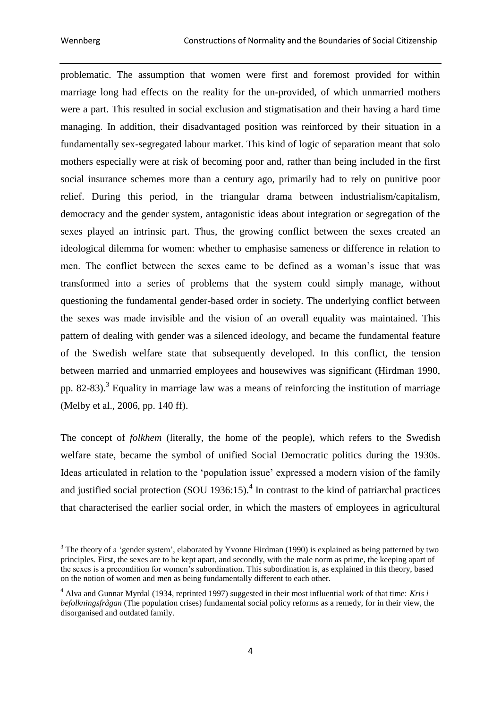problematic. The assumption that women were first and foremost provided for within marriage long had effects on the reality for the un-provided, of which unmarried mothers were a part. This resulted in social exclusion and stigmatisation and their having a hard time managing. In addition, their disadvantaged position was reinforced by their situation in a fundamentally sex-segregated labour market. This kind of logic of separation meant that solo mothers especially were at risk of becoming poor and, rather than being included in the first social insurance schemes more than a century ago, primarily had to rely on punitive poor relief. During this period, in the triangular drama between industrialism/capitalism, democracy and the gender system, antagonistic ideas about integration or segregation of the sexes played an intrinsic part. Thus, the growing conflict between the sexes created an ideological dilemma for women: whether to emphasise sameness or difference in relation to men. The conflict between the sexes came to be defined as a woman's issue that was transformed into a series of problems that the system could simply manage, without questioning the fundamental gender-based order in society. The underlying conflict between the sexes was made invisible and the vision of an overall equality was maintained. This pattern of dealing with gender was a silenced ideology, and became the fundamental feature of the Swedish welfare state that subsequently developed. In this conflict, the tension between married and unmarried employees and housewives was significant (Hirdman 1990, pp. 82-83).<sup>3</sup> Equality in marriage law was a means of reinforcing the institution of marriage (Melby et al., 2006, pp. 140 ff).

The concept of *folkhem* (literally, the home of the people), which refers to the Swedish welfare state, became the symbol of unified Social Democratic politics during the 1930s. Ideas articulated in relation to the 'population issue' expressed a modern vision of the family and justified social protection (SOU 1936:15). 4 In contrast to the kind of patriarchal practices that characterised the earlier social order, in which the masters of employees in agricultural

<sup>&</sup>lt;sup>3</sup> The theory of a 'gender system', elaborated by Yvonne Hirdman (1990) is explained as being patterned by two principles. First, the sexes are to be kept apart, and secondly, with the male norm as prime, the keeping apart of the sexes is a precondition for women's subordination. This subordination is, as explained in this theory, based on the notion of women and men as being fundamentally different to each other.

<sup>4</sup> Alva and Gunnar Myrdal (1934, reprinted 1997) suggested in their most influential work of that time: *Kris i befolkningsfrågan* (The population crises) fundamental social policy reforms as a remedy, for in their view, the disorganised and outdated family.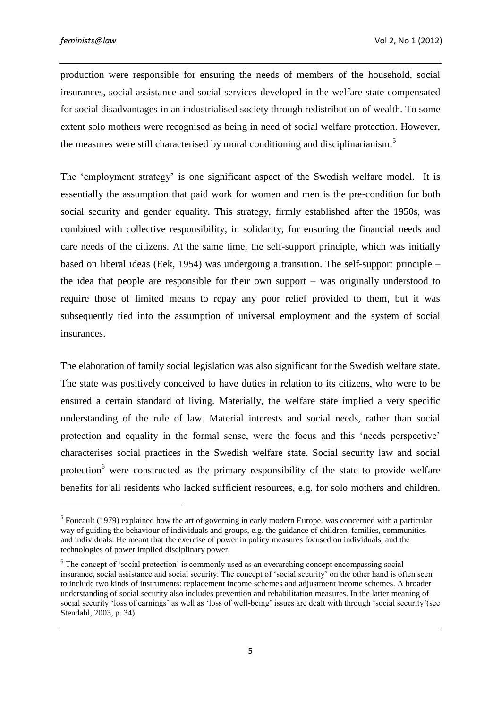production were responsible for ensuring the needs of members of the household, social insurances, social assistance and social services developed in the welfare state compensated for social disadvantages in an industrialised society through redistribution of wealth. To some extent solo mothers were recognised as being in need of social welfare protection. However, the measures were still characterised by moral conditioning and disciplinarianism.<sup>5</sup>

The 'employment strategy' is one significant aspect of the Swedish welfare model. It is essentially the assumption that paid work for women and men is the pre-condition for both social security and gender equality. This strategy, firmly established after the 1950s, was combined with collective responsibility, in solidarity, for ensuring the financial needs and care needs of the citizens. At the same time, the self-support principle, which was initially based on liberal ideas (Eek, 1954) was undergoing a transition. The self-support principle – the idea that people are responsible for their own support – was originally understood to require those of limited means to repay any poor relief provided to them, but it was subsequently tied into the assumption of universal employment and the system of social insurances.

The elaboration of family social legislation was also significant for the Swedish welfare state. The state was positively conceived to have duties in relation to its citizens, who were to be ensured a certain standard of living. Materially, the welfare state implied a very specific understanding of the rule of law. Material interests and social needs, rather than social protection and equality in the formal sense, were the focus and this 'needs perspective' characterises social practices in the Swedish welfare state. Social security law and social protection<sup>6</sup> were constructed as the primary responsibility of the state to provide welfare benefits for all residents who lacked sufficient resources, e.g. for solo mothers and children.

<sup>&</sup>lt;sup>5</sup> Foucault (1979) explained how the art of governing in early modern Europe, was concerned with a particular way of guiding the behaviour of individuals and groups, e.g. the guidance of children, families, communities and individuals. He meant that the exercise of power in policy measures focused on individuals, and the technologies of power implied disciplinary power.

<sup>&</sup>lt;sup>6</sup> The concept of 'social protection' is commonly used as an overarching concept encompassing social insurance, social assistance and social security. The concept of 'social security' on the other hand is often seen to include two kinds of instruments: replacement income schemes and adjustment income schemes. A broader understanding of social security also includes prevention and rehabilitation measures. In the latter meaning of social security 'loss of earnings' as well as 'loss of well-being' issues are dealt with through 'social security'(see Stendahl, 2003, p. 34)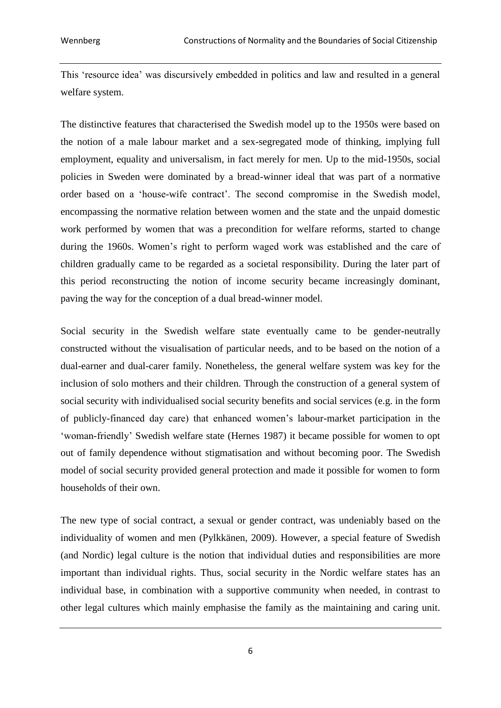This 'resource idea' was discursively embedded in politics and law and resulted in a general welfare system.

The distinctive features that characterised the Swedish model up to the 1950s were based on the notion of a male labour market and a sex-segregated mode of thinking, implying full employment, equality and universalism, in fact merely for men. Up to the mid-1950s, social policies in Sweden were dominated by a bread-winner ideal that was part of a normative order based on a 'house-wife contract'. The second compromise in the Swedish model, encompassing the normative relation between women and the state and the unpaid domestic work performed by women that was a precondition for welfare reforms, started to change during the 1960s. Women's right to perform waged work was established and the care of children gradually came to be regarded as a societal responsibility. During the later part of this period reconstructing the notion of income security became increasingly dominant, paving the way for the conception of a dual bread-winner model.

Social security in the Swedish welfare state eventually came to be gender-neutrally constructed without the visualisation of particular needs, and to be based on the notion of a dual-earner and dual-carer family. Nonetheless, the general welfare system was key for the inclusion of solo mothers and their children. Through the construction of a general system of social security with individualised social security benefits and social services (e.g. in the form of publicly-financed day care) that enhanced women's labour-market participation in the 'woman-friendly' Swedish welfare state (Hernes 1987) it became possible for women to opt out of family dependence without stigmatisation and without becoming poor. The Swedish model of social security provided general protection and made it possible for women to form households of their own.

The new type of social contract, a sexual or gender contract, was undeniably based on the individuality of women and men (Pylkkänen, 2009). However, a special feature of Swedish (and Nordic) legal culture is the notion that individual duties and responsibilities are more important than individual rights. Thus, social security in the Nordic welfare states has an individual base, in combination with a supportive community when needed, in contrast to other legal cultures which mainly emphasise the family as the maintaining and caring unit.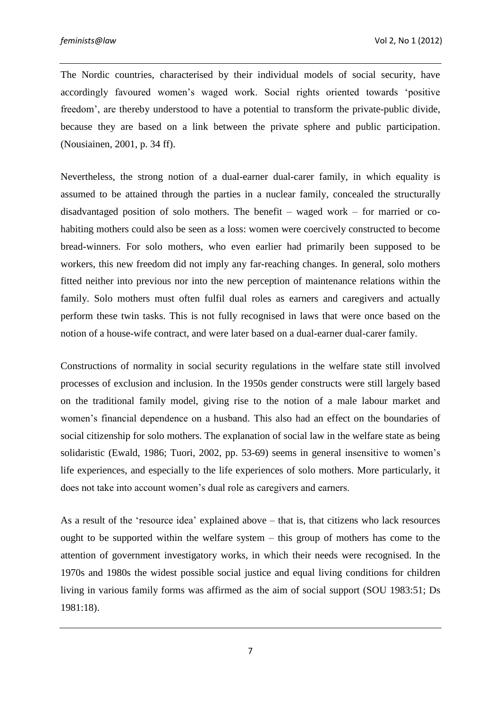The Nordic countries, characterised by their individual models of social security, have accordingly favoured women's waged work. Social rights oriented towards 'positive freedom', are thereby understood to have a potential to transform the private-public divide, because they are based on a link between the private sphere and public participation. (Nousiainen, 2001, p. 34 ff).

Nevertheless, the strong notion of a dual-earner dual-carer family, in which equality is assumed to be attained through the parties in a nuclear family, concealed the structurally disadvantaged position of solo mothers. The benefit – waged work – for married or cohabiting mothers could also be seen as a loss: women were coercively constructed to become bread-winners. For solo mothers, who even earlier had primarily been supposed to be workers, this new freedom did not imply any far-reaching changes. In general, solo mothers fitted neither into previous nor into the new perception of maintenance relations within the family. Solo mothers must often fulfil dual roles as earners and caregivers and actually perform these twin tasks. This is not fully recognised in laws that were once based on the notion of a house-wife contract, and were later based on a dual-earner dual-carer family.

Constructions of normality in social security regulations in the welfare state still involved processes of exclusion and inclusion. In the 1950s gender constructs were still largely based on the traditional family model, giving rise to the notion of a male labour market and women's financial dependence on a husband. This also had an effect on the boundaries of social citizenship for solo mothers. The explanation of social law in the welfare state as being solidaristic (Ewald, 1986; Tuori, 2002, pp. 53-69) seems in general insensitive to women's life experiences, and especially to the life experiences of solo mothers. More particularly, it does not take into account women's dual role as caregivers and earners.

As a result of the 'resource idea' explained above – that is, that citizens who lack resources ought to be supported within the welfare system – this group of mothers has come to the attention of government investigatory works, in which their needs were recognised. In the 1970s and 1980s the widest possible social justice and equal living conditions for children living in various family forms was affirmed as the aim of social support (SOU 1983:51; Ds 1981:18).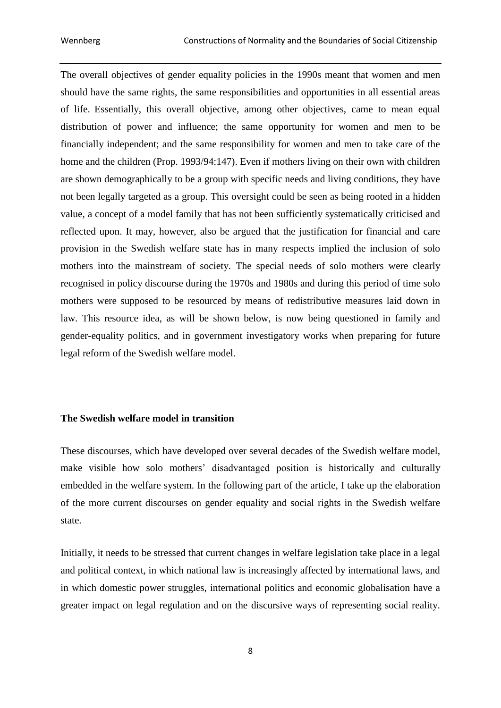The overall objectives of gender equality policies in the 1990s meant that women and men should have the same rights, the same responsibilities and opportunities in all essential areas of life. Essentially, this overall objective, among other objectives, came to mean equal distribution of power and influence; the same opportunity for women and men to be financially independent; and the same responsibility for women and men to take care of the home and the children (Prop. 1993/94:147). Even if mothers living on their own with children are shown demographically to be a group with specific needs and living conditions, they have not been legally targeted as a group. This oversight could be seen as being rooted in a hidden value, a concept of a model family that has not been sufficiently systematically criticised and reflected upon. It may, however, also be argued that the justification for financial and care provision in the Swedish welfare state has in many respects implied the inclusion of solo mothers into the mainstream of society. The special needs of solo mothers were clearly recognised in policy discourse during the 1970s and 1980s and during this period of time solo mothers were supposed to be resourced by means of redistributive measures laid down in law. This resource idea, as will be shown below, is now being questioned in family and gender-equality politics, and in government investigatory works when preparing for future legal reform of the Swedish welfare model.

# **The Swedish welfare model in transition**

These discourses, which have developed over several decades of the Swedish welfare model, make visible how solo mothers' disadvantaged position is historically and culturally embedded in the welfare system. In the following part of the article, I take up the elaboration of the more current discourses on gender equality and social rights in the Swedish welfare state.

Initially, it needs to be stressed that current changes in welfare legislation take place in a legal and political context, in which national law is increasingly affected by international laws, and in which domestic power struggles, international politics and economic globalisation have a greater impact on legal regulation and on the discursive ways of representing social reality.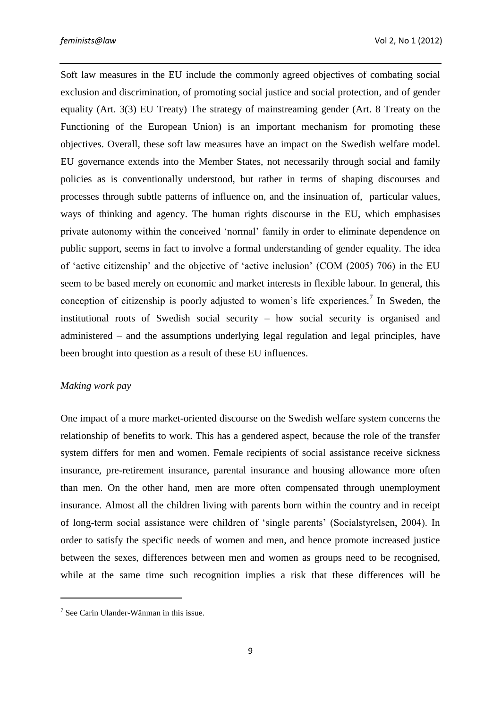Soft law measures in the EU include the commonly agreed objectives of combating social exclusion and discrimination, of promoting social justice and social protection, and of gender equality (Art. 3(3) EU Treaty) The strategy of mainstreaming gender (Art. 8 Treaty on the Functioning of the European Union) is an important mechanism for promoting these objectives. Overall, these soft law measures have an impact on the Swedish welfare model. EU governance extends into the Member States, not necessarily through social and family policies as is conventionally understood, but rather in terms of shaping discourses and processes through subtle patterns of influence on, and the insinuation of, particular values, ways of thinking and agency. The human rights discourse in the EU, which emphasises private autonomy within the conceived 'normal' family in order to eliminate dependence on public support, seems in fact to involve a formal understanding of gender equality. The idea of 'active citizenship' and the objective of 'active inclusion' (COM (2005) 706) in the EU seem to be based merely on economic and market interests in flexible labour. In general, this conception of citizenship is poorly adjusted to women's life experiences*.* 7 In Sweden, the institutional roots of Swedish social security – how social security is organised and administered – and the assumptions underlying legal regulation and legal principles, have been brought into question as a result of these EU influences.

# *Making work pay*

One impact of a more market-oriented discourse on the Swedish welfare system concerns the relationship of benefits to work. This has a gendered aspect, because the role of the transfer system differs for men and women. Female recipients of social assistance receive sickness insurance, pre-retirement insurance, parental insurance and housing allowance more often than men. On the other hand, men are more often compensated through unemployment insurance. Almost all the children living with parents born within the country and in receipt of long-term social assistance were children of 'single parents' (Socialstyrelsen, 2004). In order to satisfy the specific needs of women and men, and hence promote increased justice between the sexes, differences between men and women as groups need to be recognised, while at the same time such recognition implies a risk that these differences will be

1

<sup>7</sup> See Carin Ulander-Wänman in this issue.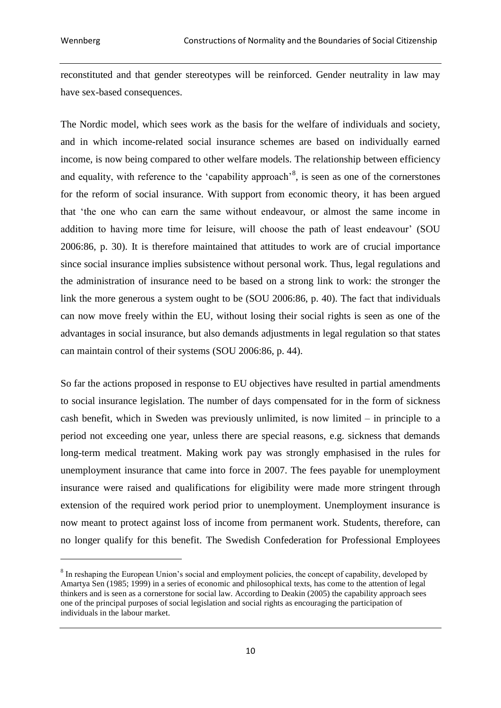<u>.</u>

reconstituted and that gender stereotypes will be reinforced. Gender neutrality in law may have sex-based consequences.

The Nordic model, which sees work as the basis for the welfare of individuals and society, and in which income-related social insurance schemes are based on individually earned income, is now being compared to other welfare models. The relationship between efficiency and equality, with reference to the 'capability approach'<sup>8</sup>, is seen as one of the cornerstones for the reform of social insurance. With support from economic theory, it has been argued that 'the one who can earn the same without endeavour, or almost the same income in addition to having more time for leisure, will choose the path of least endeavour' (SOU 2006:86, p. 30). It is therefore maintained that attitudes to work are of crucial importance since social insurance implies subsistence without personal work. Thus, legal regulations and the administration of insurance need to be based on a strong link to work: the stronger the link the more generous a system ought to be (SOU 2006:86, p. 40). The fact that individuals can now move freely within the EU, without losing their social rights is seen as one of the advantages in social insurance, but also demands adjustments in legal regulation so that states can maintain control of their systems (SOU 2006:86, p. 44).

So far the actions proposed in response to EU objectives have resulted in partial amendments to social insurance legislation. The number of days compensated for in the form of sickness cash benefit, which in Sweden was previously unlimited, is now limited – in principle to a period not exceeding one year, unless there are special reasons, e.g. sickness that demands long-term medical treatment. Making work pay was strongly emphasised in the rules for unemployment insurance that came into force in 2007. The fees payable for unemployment insurance were raised and qualifications for eligibility were made more stringent through extension of the required work period prior to unemployment. Unemployment insurance is now meant to protect against loss of income from permanent work. Students, therefore, can no longer qualify for this benefit. The Swedish Confederation for Professional Employees

<sup>&</sup>lt;sup>8</sup> In reshaping the European Union's social and employment policies, the concept of capability, developed by Amartya Sen (1985; 1999) in a series of economic and philosophical texts, has come to the attention of legal thinkers and is seen as a cornerstone for social law. According to Deakin (2005) the capability approach sees one of the principal purposes of social legislation and social rights as encouraging the participation of individuals in the labour market.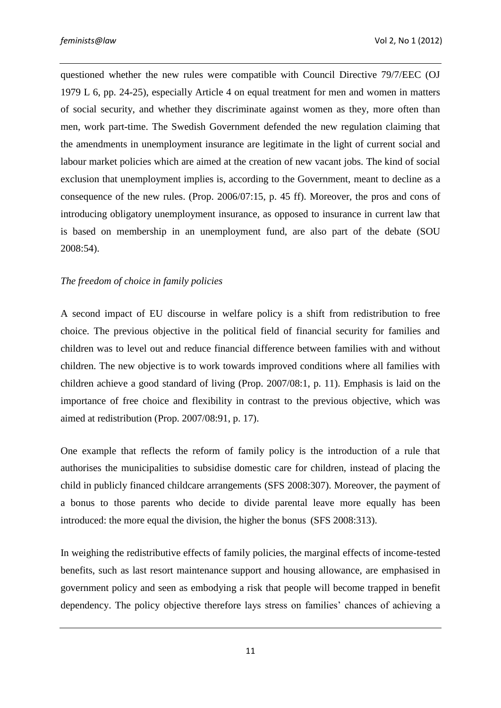questioned whether the new rules were compatible with Council Directive 79/7/EEC (OJ 1979 L 6, pp. 24-25), especially Article 4 on equal treatment for men and women in matters of social security, and whether they discriminate against women as they, more often than men, work part-time. The Swedish Government defended the new regulation claiming that the amendments in unemployment insurance are legitimate in the light of current social and labour market policies which are aimed at the creation of new vacant jobs. The kind of social exclusion that unemployment implies is, according to the Government, meant to decline as a consequence of the new rules. (Prop. 2006/07:15, p. 45 ff). Moreover, the pros and cons of introducing obligatory unemployment insurance, as opposed to insurance in current law that is based on membership in an unemployment fund, are also part of the debate (SOU 2008:54).

# *The freedom of choice in family policies*

A second impact of EU discourse in welfare policy is a shift from redistribution to free choice. The previous objective in the political field of financial security for families and children was to level out and reduce financial difference between families with and without children. The new objective is to work towards improved conditions where all families with children achieve a good standard of living (Prop. 2007/08:1, p. 11). Emphasis is laid on the importance of free choice and flexibility in contrast to the previous objective, which was aimed at redistribution (Prop. 2007/08:91, p. 17).

One example that reflects the reform of family policy is the introduction of a rule that authorises the municipalities to subsidise domestic care for children, instead of placing the child in publicly financed childcare arrangements (SFS 2008:307). Moreover, the payment of a bonus to those parents who decide to divide parental leave more equally has been introduced: the more equal the division, the higher the bonus (SFS 2008:313).

In weighing the redistributive effects of family policies, the marginal effects of income-tested benefits, such as last resort maintenance support and housing allowance, are emphasised in government policy and seen as embodying a risk that people will become trapped in benefit dependency. The policy objective therefore lays stress on families' chances of achieving a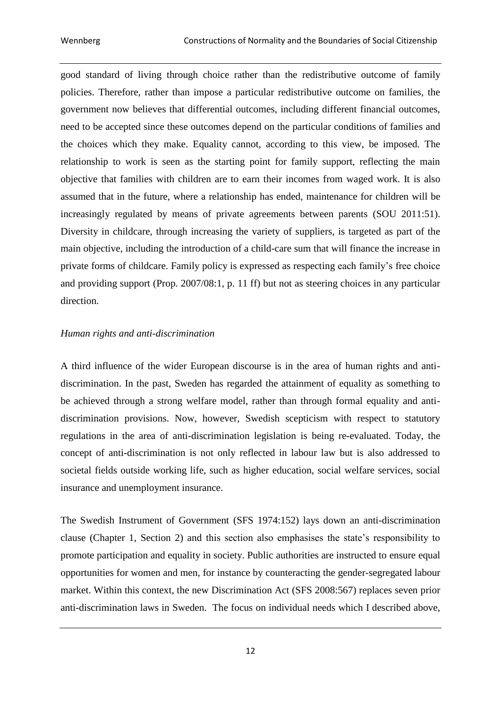good standard of living through choice rather than the redistributive outcome of family policies. Therefore, rather than impose a particular redistributive outcome on families, the government now believes that differential outcomes, including different financial outcomes, need to be accepted since these outcomes depend on the particular conditions of families and the choices which they make. Equality cannot, according to this view, be imposed. The relationship to work is seen as the starting point for family support, reflecting the main objective that families with children are to earn their incomes from waged work. It is also assumed that in the future, where a relationship has ended, maintenance for children will be increasingly regulated by means of private agreements between parents (SOU 2011:51). Diversity in childcare, through increasing the variety of suppliers, is targeted as part of the main objective, including the introduction of a child-care sum that will finance the increase in private forms of childcare. Family policy is expressed as respecting each family's free choice and providing support (Prop. 2007/08:1, p. 11 ff) but not as steering choices in any particular direction.

### *Human rights and anti-discrimination*

A third influence of the wider European discourse is in the area of human rights and antidiscrimination. In the past, Sweden has regarded the attainment of equality as something to be achieved through a strong welfare model, rather than through formal equality and antidiscrimination provisions. Now, however, Swedish scepticism with respect to statutory regulations in the area of anti-discrimination legislation is being re-evaluated. Today, the concept of anti-discrimination is not only reflected in labour law but is also addressed to societal fields outside working life, such as higher education, social welfare services, social insurance and unemployment insurance.

The Swedish Instrument of Government (SFS 1974:152) lays down an anti-discrimination clause (Chapter 1, Section 2) and this section also emphasises the state's responsibility to promote participation and equality in society. Public authorities are instructed to ensure equal opportunities for women and men, for instance by counteracting the gender-segregated labour market. Within this context, the new Discrimination Act (SFS 2008:567) replaces seven prior anti-discrimination laws in Sweden. The focus on individual needs which I described above,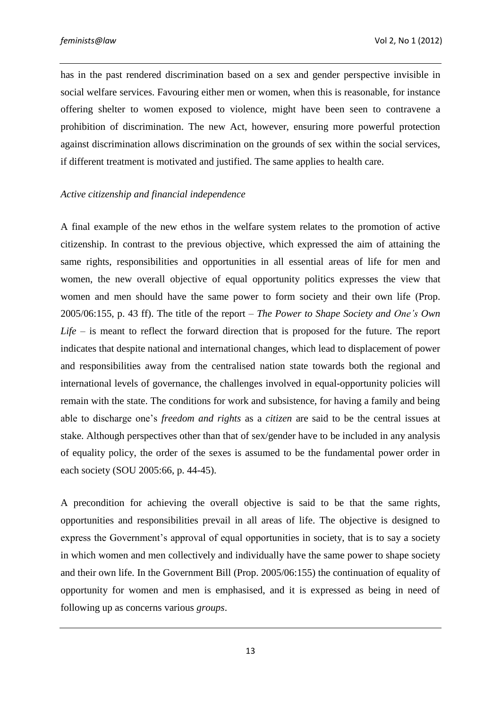has in the past rendered discrimination based on a sex and gender perspective invisible in social welfare services. Favouring either men or women, when this is reasonable, for instance offering shelter to women exposed to violence, might have been seen to contravene a prohibition of discrimination. The new Act, however, ensuring more powerful protection against discrimination allows discrimination on the grounds of sex within the social services, if different treatment is motivated and justified. The same applies to health care.

#### *Active citizenship and financial independence*

A final example of the new ethos in the welfare system relates to the promotion of active citizenship. In contrast to the previous objective, which expressed the aim of attaining the same rights, responsibilities and opportunities in all essential areas of life for men and women, the new overall objective of equal opportunity politics expresses the view that women and men should have the same power to form society and their own life (Prop. 2005/06:155, p. 43 ff). The title of the report – *The Power to Shape Society and One's Own Life* – is meant to reflect the forward direction that is proposed for the future. The report indicates that despite national and international changes, which lead to displacement of power and responsibilities away from the centralised nation state towards both the regional and international levels of governance, the challenges involved in equal-opportunity policies will remain with the state. The conditions for work and subsistence, for having a family and being able to discharge one's *freedom and rights* as a *citizen* are said to be the central issues at stake. Although perspectives other than that of sex/gender have to be included in any analysis of equality policy, the order of the sexes is assumed to be the fundamental power order in each society (SOU 2005:66, p. 44-45).

A precondition for achieving the overall objective is said to be that the same rights, opportunities and responsibilities prevail in all areas of life. The objective is designed to express the Government's approval of equal opportunities in society, that is to say a society in which women and men collectively and individually have the same power to shape society and their own life. In the Government Bill (Prop. 2005/06:155) the continuation of equality of opportunity for women and men is emphasised, and it is expressed as being in need of following up as concerns various *groups*.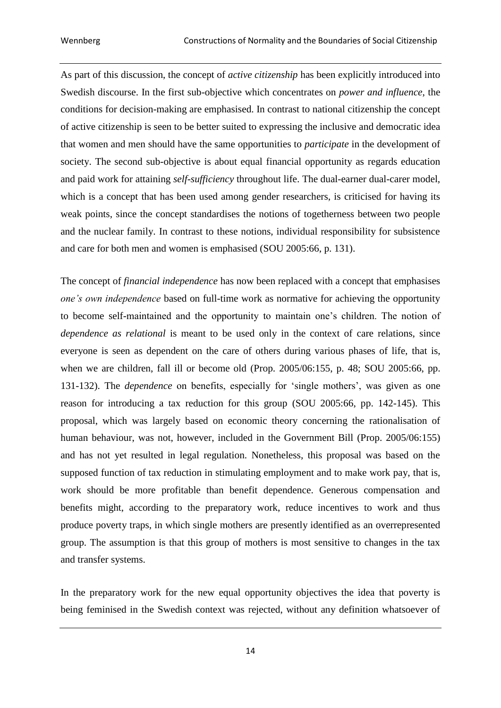As part of this discussion, the concept of *active citizenship* has been explicitly introduced into Swedish discourse. In the first sub-objective which concentrates on *power and influence*, the conditions for decision-making are emphasised. In contrast to national citizenship the concept of active citizenship is seen to be better suited to expressing the inclusive and democratic idea that women and men should have the same opportunities to *participate* in the development of society. The second sub-objective is about equal financial opportunity as regards education and paid work for attaining *self-sufficiency* throughout life. The dual-earner dual-carer model, which is a concept that has been used among gender researchers, is criticised for having its weak points, since the concept standardises the notions of togetherness between two people and the nuclear family. In contrast to these notions, individual responsibility for subsistence and care for both men and women is emphasised (SOU 2005:66, p. 131).

The concept of *financial independence* has now been replaced with a concept that emphasises *one's own independence* based on full-time work as normative for achieving the opportunity to become self-maintained and the opportunity to maintain one's children. The notion of *dependence as relational* is meant to be used only in the context of care relations, since everyone is seen as dependent on the care of others during various phases of life, that is, when we are children, fall ill or become old (Prop. 2005/06:155, p. 48; SOU 2005:66, pp. 131-132). The *dependence* on benefits, especially for 'single mothers', was given as one reason for introducing a tax reduction for this group (SOU 2005:66, pp. 142-145). This proposal, which was largely based on economic theory concerning the rationalisation of human behaviour, was not, however, included in the Government Bill (Prop. 2005/06:155) and has not yet resulted in legal regulation. Nonetheless, this proposal was based on the supposed function of tax reduction in stimulating employment and to make work pay, that is, work should be more profitable than benefit dependence. Generous compensation and benefits might, according to the preparatory work, reduce incentives to work and thus produce poverty traps, in which single mothers are presently identified as an overrepresented group. The assumption is that this group of mothers is most sensitive to changes in the tax and transfer systems.

In the preparatory work for the new equal opportunity objectives the idea that poverty is being feminised in the Swedish context was rejected, without any definition whatsoever of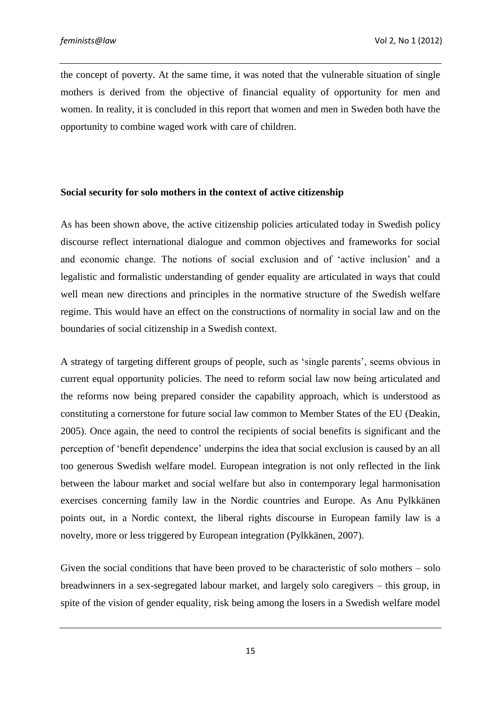the concept of poverty. At the same time, it was noted that the vulnerable situation of single mothers is derived from the objective of financial equality of opportunity for men and women. In reality, it is concluded in this report that women and men in Sweden both have the opportunity to combine waged work with care of children.

#### **Social security for solo mothers in the context of active citizenship**

As has been shown above, the active citizenship policies articulated today in Swedish policy discourse reflect international dialogue and common objectives and frameworks for social and economic change. The notions of social exclusion and of 'active inclusion' and a legalistic and formalistic understanding of gender equality are articulated in ways that could well mean new directions and principles in the normative structure of the Swedish welfare regime. This would have an effect on the constructions of normality in social law and on the boundaries of social citizenship in a Swedish context.

A strategy of targeting different groups of people, such as 'single parents', seems obvious in current equal opportunity policies. The need to reform social law now being articulated and the reforms now being prepared consider the capability approach, which is understood as constituting a cornerstone for future social law common to Member States of the EU (Deakin, 2005). Once again, the need to control the recipients of social benefits is significant and the perception of 'benefit dependence' underpins the idea that social exclusion is caused by an all too generous Swedish welfare model. European integration is not only reflected in the link between the labour market and social welfare but also in contemporary legal harmonisation exercises concerning family law in the Nordic countries and Europe. As Anu Pylkkänen points out, in a Nordic context, the liberal rights discourse in European family law is a novelty, more or less triggered by European integration (Pylkkänen, 2007).

Given the social conditions that have been proved to be characteristic of solo mothers – solo breadwinners in a sex-segregated labour market, and largely solo caregivers – this group, in spite of the vision of gender equality, risk being among the losers in a Swedish welfare model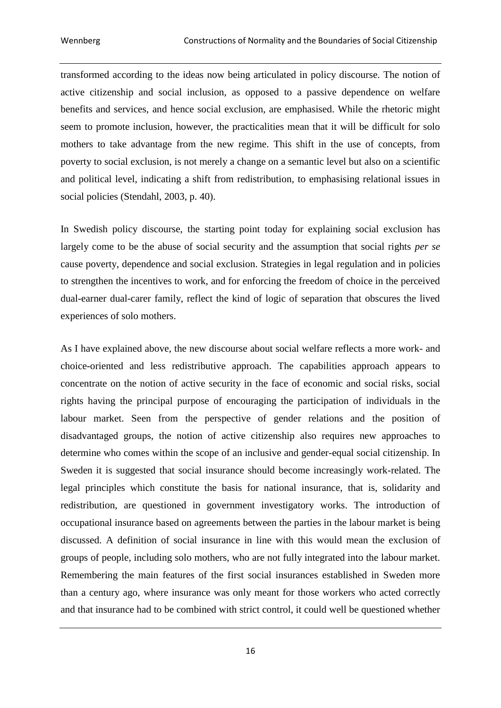transformed according to the ideas now being articulated in policy discourse. The notion of active citizenship and social inclusion, as opposed to a passive dependence on welfare benefits and services, and hence social exclusion, are emphasised. While the rhetoric might seem to promote inclusion, however, the practicalities mean that it will be difficult for solo mothers to take advantage from the new regime. This shift in the use of concepts, from poverty to social exclusion, is not merely a change on a semantic level but also on a scientific and political level, indicating a shift from redistribution, to emphasising relational issues in social policies (Stendahl, 2003, p. 40).

In Swedish policy discourse, the starting point today for explaining social exclusion has largely come to be the abuse of social security and the assumption that social rights *per se* cause poverty, dependence and social exclusion. Strategies in legal regulation and in policies to strengthen the incentives to work, and for enforcing the freedom of choice in the perceived dual-earner dual-carer family, reflect the kind of logic of separation that obscures the lived experiences of solo mothers.

As I have explained above, the new discourse about social welfare reflects a more work- and choice-oriented and less redistributive approach. The capabilities approach appears to concentrate on the notion of active security in the face of economic and social risks, social rights having the principal purpose of encouraging the participation of individuals in the labour market. Seen from the perspective of gender relations and the position of disadvantaged groups, the notion of active citizenship also requires new approaches to determine who comes within the scope of an inclusive and gender-equal social citizenship. In Sweden it is suggested that social insurance should become increasingly work-related. The legal principles which constitute the basis for national insurance, that is, solidarity and redistribution, are questioned in government investigatory works. The introduction of occupational insurance based on agreements between the parties in the labour market is being discussed. A definition of social insurance in line with this would mean the exclusion of groups of people, including solo mothers, who are not fully integrated into the labour market. Remembering the main features of the first social insurances established in Sweden more than a century ago, where insurance was only meant for those workers who acted correctly and that insurance had to be combined with strict control, it could well be questioned whether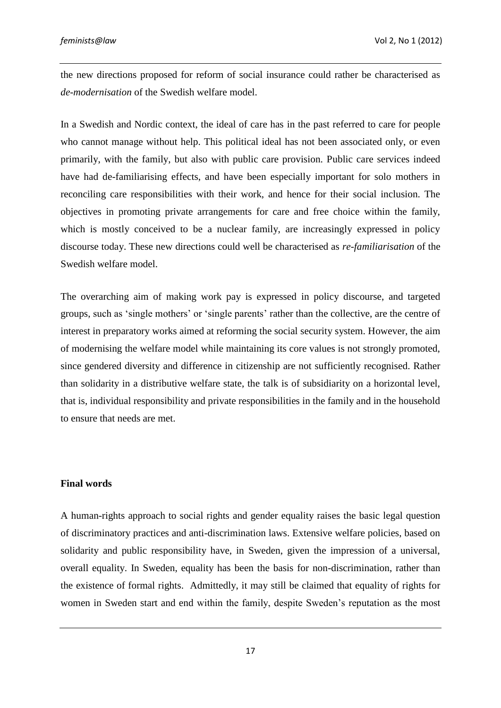the new directions proposed for reform of social insurance could rather be characterised as *de-modernisation* of the Swedish welfare model.

In a Swedish and Nordic context, the ideal of care has in the past referred to care for people who cannot manage without help. This political ideal has not been associated only, or even primarily, with the family, but also with public care provision. Public care services indeed have had de-familiarising effects, and have been especially important for solo mothers in reconciling care responsibilities with their work, and hence for their social inclusion. The objectives in promoting private arrangements for care and free choice within the family, which is mostly conceived to be a nuclear family, are increasingly expressed in policy discourse today. These new directions could well be characterised as *re-familiarisation* of the Swedish welfare model.

The overarching aim of making work pay is expressed in policy discourse, and targeted groups, such as 'single mothers' or 'single parents' rather than the collective, are the centre of interest in preparatory works aimed at reforming the social security system. However, the aim of modernising the welfare model while maintaining its core values is not strongly promoted, since gendered diversity and difference in citizenship are not sufficiently recognised. Rather than solidarity in a distributive welfare state, the talk is of subsidiarity on a horizontal level, that is, individual responsibility and private responsibilities in the family and in the household to ensure that needs are met.

#### **Final words**

A human-rights approach to social rights and gender equality raises the basic legal question of discriminatory practices and anti-discrimination laws. Extensive welfare policies, based on solidarity and public responsibility have, in Sweden, given the impression of a universal, overall equality. In Sweden, equality has been the basis for non-discrimination, rather than the existence of formal rights. Admittedly, it may still be claimed that equality of rights for women in Sweden start and end within the family, despite Sweden's reputation as the most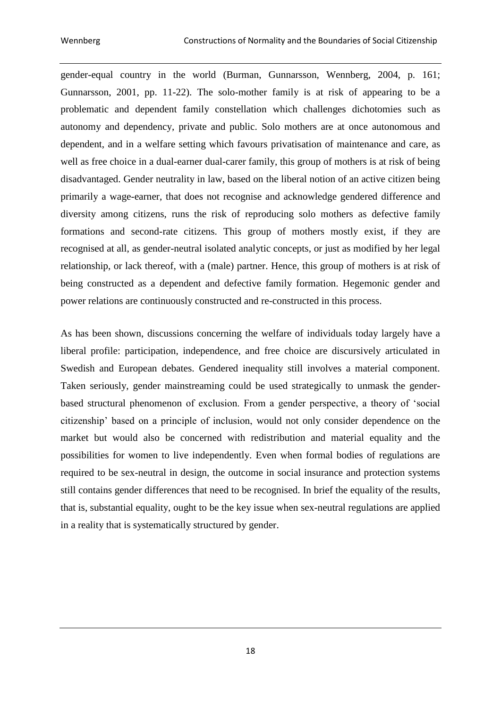gender-equal country in the world (Burman, Gunnarsson, Wennberg, 2004, p. 161; Gunnarsson, 2001, pp. 11-22). The solo-mother family is at risk of appearing to be a problematic and dependent family constellation which challenges dichotomies such as autonomy and dependency, private and public. Solo mothers are at once autonomous and dependent, and in a welfare setting which favours privatisation of maintenance and care, as well as free choice in a dual-earner dual-carer family, this group of mothers is at risk of being disadvantaged. Gender neutrality in law, based on the liberal notion of an active citizen being primarily a wage-earner, that does not recognise and acknowledge gendered difference and diversity among citizens, runs the risk of reproducing solo mothers as defective family formations and second-rate citizens. This group of mothers mostly exist, if they are recognised at all, as gender-neutral isolated analytic concepts, or just as modified by her legal relationship, or lack thereof, with a (male) partner. Hence, this group of mothers is at risk of being constructed as a dependent and defective family formation. Hegemonic gender and power relations are continuously constructed and re-constructed in this process.

As has been shown, discussions concerning the welfare of individuals today largely have a liberal profile: participation, independence, and free choice are discursively articulated in Swedish and European debates. Gendered inequality still involves a material component. Taken seriously, gender mainstreaming could be used strategically to unmask the genderbased structural phenomenon of exclusion. From a gender perspective, a theory of 'social citizenship' based on a principle of inclusion, would not only consider dependence on the market but would also be concerned with redistribution and material equality and the possibilities for women to live independently. Even when formal bodies of regulations are required to be sex-neutral in design, the outcome in social insurance and protection systems still contains gender differences that need to be recognised. In brief the equality of the results, that is, substantial equality, ought to be the key issue when sex-neutral regulations are applied in a reality that is systematically structured by gender.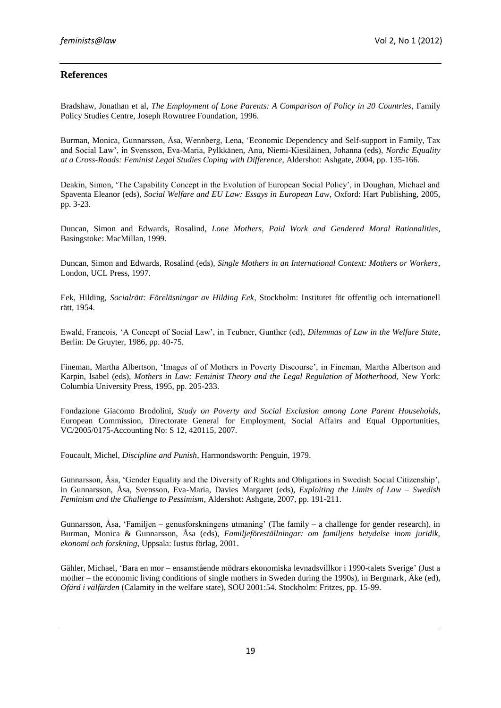# **References**

Bradshaw, Jonathan et al, *The Employment of Lone Parents: A Comparison of Policy in 20 Countries*, Family Policy Studies Centre, Joseph Rowntree Foundation, 1996.

Burman, Monica, Gunnarsson, Åsa, Wennberg, Lena, 'Economic Dependency and Self-support in Family, Tax and Social Law', in Svensson, Eva-Maria, Pylkkänen, Anu, Niemi-Kiesiläinen, Johanna (eds), *Nordic Equality at a Cross-Roads: Feminist Legal Studies Coping with Difference*, Aldershot: Ashgate, 2004, pp. 135-166.

Deakin, Simon, 'The Capability Concept in the Evolution of European Social Policy', in Doughan, Michael and Spaventa Eleanor (eds), *Social Welfare and EU Law: Essays in European Law*, Oxford: Hart Publishing, 2005, pp. 3-23.

Duncan, Simon and Edwards, Rosalind, *Lone Mothers, Paid Work and Gendered Moral Rationalities*, Basingstoke: MacMillan, 1999.

Duncan, Simon and Edwards, Rosalind (eds), *Single Mothers in an International Context: Mothers or Workers*, London, UCL Press, 1997.

Eek, Hilding, *Socialrätt: Föreläsningar av Hilding Eek*, Stockholm: Institutet för offentlig och internationell rätt, 1954.

Ewald, Francois, 'A Concept of Social Law', in Teubner, Gunther (ed), *Dilemmas of Law in the Welfare State*, Berlin: De Gruyter, 1986, pp. 40-75.

Fineman, Martha Albertson, 'Images of of Mothers in Poverty Discourse', in Fineman, Martha Albertson and Karpin, Isabel (eds), *Mothers in Law: Feminist Theory and the Legal Regulation of Motherhood*, New York: Columbia University Press, 1995, pp. 205-233.

Fondazione Giacomo Brodolini, *Study on Poverty and Social Exclusion among Lone Parent Households*, European Commission, Directorate General for Employment, Social Affairs and Equal Opportunities, VC/2005/0175-Accounting No: S 12, 420115, 2007.

Foucault, Michel, *Discipline and Punish*, Harmondsworth: Penguin, 1979.

Gunnarsson, Åsa, 'Gender Equality and the Diversity of Rights and Obligations in Swedish Social Citizenship', in Gunnarsson, Åsa, Svensson, Eva-Maria, Davies Margaret (eds), *Exploiting the Limits of Law – Swedish Feminism and the Challenge to Pessimism*, Aldershot: Ashgate, 2007, pp. 191-211.

Gunnarsson, Åsa, 'Familjen – genusforskningens utmaning' (The family – a challenge for gender research), in Burman, Monica & Gunnarsson, Åsa (eds), *Familjeföreställningar: om familjens betydelse inom juridik, ekonomi och forskning*, Uppsala: Iustus förlag, 2001.

Gähler, Michael, 'Bara en mor – ensamstående mödrars ekonomiska levnadsvillkor i 1990-talets Sverige' (Just a mother – the economic living conditions of single mothers in Sweden during the 1990s), in Bergmark, Åke (ed), *Ofärd i välfärden* (Calamity in the welfare state), SOU 2001:54. Stockholm: Fritzes, pp. 15-99.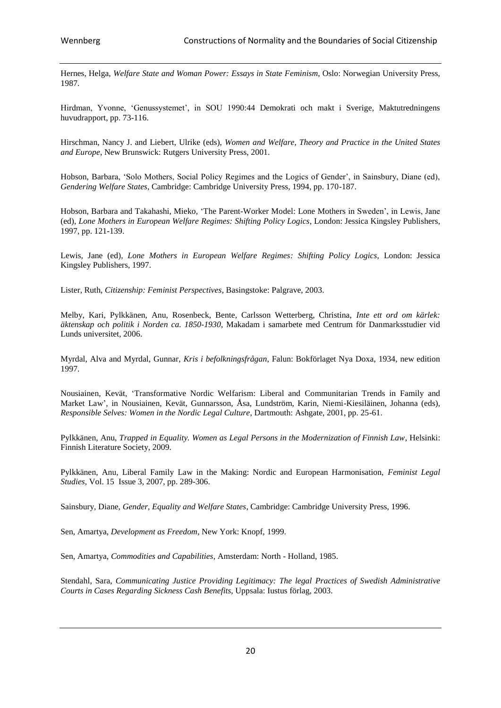Hernes, Helga, *Welfare State and Woman Power: Essays in State Feminism*, Oslo: Norwegian University Press, 1987.

Hirdman, Yvonne, 'Genussystemet', in SOU 1990:44 Demokrati och makt i Sverige, Maktutredningens huvudrapport, pp. 73-116.

Hirschman, Nancy J. and Liebert, Ulrike (eds), *Women and Welfare, Theory and Practice in the United States and Europe*, New Brunswick: Rutgers University Press, 2001.

Hobson, Barbara, 'Solo Mothers, Social Policy Regimes and the Logics of Gender', in Sainsbury, Diane (ed), *Gendering Welfare States*, Cambridge: Cambridge University Press, 1994, pp. 170-187.

Hobson, Barbara and Takahashi, Mieko, 'The Parent-Worker Model: Lone Mothers in Sweden', in Lewis, Jane (ed), *Lone Mothers in European Welfare Regimes: Shifting Policy Logics*, London: Jessica Kingsley Publishers, 1997, pp. 121-139.

Lewis, Jane (ed), *Lone Mothers in European Welfare Regimes: Shifting Policy Logics*, London: Jessica Kingsley Publishers, 1997.

Lister, Ruth, *Citizenship: Feminist Perspectives*, Basingstoke: Palgrave, 2003.

Melby, Kari, Pylkkänen, Anu, Rosenbeck, Bente, Carlsson Wetterberg, Christina, *Inte ett ord om kärlek: äktenskap och politik i Norden ca. 1850-1930*, Makadam i samarbete med Centrum för Danmarksstudier vid Lunds universitet, 2006.

Myrdal, Alva and Myrdal, Gunnar, *Kris i befolkningsfrågan*, Falun: Bokförlaget Nya Doxa, 1934, new edition 1997.

Nousiainen, Kevät, 'Transformative Nordic Welfarism: Liberal and Communitarian Trends in Family and Market Law', in Nousiainen, Kevät, Gunnarsson, Åsa, Lundström, Karin, Niemi-Kiesiläinen, Johanna (eds), *Responsible Selves: Women in the Nordic Legal Culture*, Dartmouth: Ashgate, 2001, pp. 25-61.

Pylkkänen, Anu, *Trapped in Equality. Women as Legal Persons in the Modernization of Finnish Law*, Helsinki: Finnish Literature Society, 2009.

Pylkkänen, Anu, Liberal Family Law in the Making: Nordic and European Harmonisation, *Feminist Legal Studies*, Vol. 15 Issue 3, 2007, pp. 289-306.

Sainsbury, Diane, *Gender, Equality and Welfare States*, Cambridge: Cambridge University Press, 1996.

Sen, Amartya, *Development as Freedom*, New York: Knopf, 1999.

Sen, Amartya, *Commodities and Capabilities*, Amsterdam: North - Holland, 1985.

Stendahl, Sara, *Communicating Justice Providing Legitimacy: The legal Practices of Swedish Administrative Courts in Cases Regarding Sickness Cash Benefits*, Uppsala: Iustus förlag, 2003.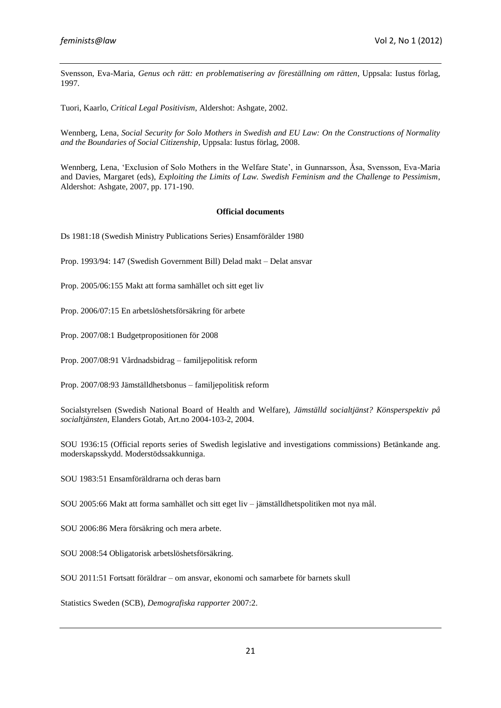Svensson, Eva-Maria, *Genus och rätt: en problematisering av föreställning om rätten*, Uppsala: Iustus förlag, 1997.

Tuori, Kaarlo, *Critical Legal Positivism*, Aldershot: Ashgate, 2002.

Wennberg, Lena, *Social Security for Solo Mothers in Swedish and EU Law: On the Constructions of Normality and the Boundaries of Social Citizenship*, Uppsala: Iustus förlag, 2008.

Wennberg, Lena, 'Exclusion of Solo Mothers in the Welfare State', in Gunnarsson, Åsa, Svensson, Eva-Maria and Davies, Margaret (eds), *Exploiting the Limits of Law. Swedish Feminism and the Challenge to Pessimism*, Aldershot: Ashgate, 2007, pp. 171-190.

#### **Official documents**

Ds 1981:18 (Swedish Ministry Publications Series) Ensamförälder 1980

- Prop. 1993/94: 147 (Swedish Government Bill) Delad makt Delat ansvar
- Prop. 2005/06:155 Makt att forma samhället och sitt eget liv
- Prop. 2006/07:15 En arbetslöshetsförsäkring för arbete

Prop. 2007/08:1 Budgetpropositionen för 2008

Prop. 2007/08:91 Vårdnadsbidrag – familjepolitisk reform

Prop. 2007/08:93 Jämställdhetsbonus – familjepolitisk reform

Socialstyrelsen (Swedish National Board of Health and Welfare), *Jämställd socialtjänst? Könsperspektiv på socialtjänsten*, Elanders Gotab, Art.no 2004-103-2, 2004.

SOU 1936:15 (Official reports series of Swedish legislative and investigations commissions) Betänkande ang. moderskapsskydd. Moderstödssakkunniga.

SOU 1983:51 Ensamföräldrarna och deras barn

SOU 2005:66 Makt att forma samhället och sitt eget liv – jämställdhetspolitiken mot nya mål.

SOU 2006:86 Mera försäkring och mera arbete.

SOU 2008:54 Obligatorisk arbetslöshetsförsäkring.

SOU 2011:51 Fortsatt föräldrar – om ansvar, ekonomi och samarbete för barnets skull

Statistics Sweden (SCB), *Demografiska rapporter* 2007:2.